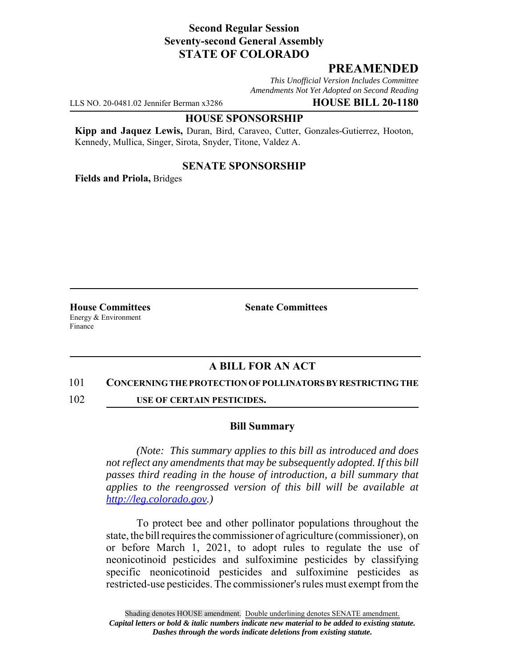# **Second Regular Session Seventy-second General Assembly STATE OF COLORADO**

# **PREAMENDED**

*This Unofficial Version Includes Committee Amendments Not Yet Adopted on Second Reading*

LLS NO. 20-0481.02 Jennifer Berman x3286 **HOUSE BILL 20-1180**

### **HOUSE SPONSORSHIP**

**Kipp and Jaquez Lewis,** Duran, Bird, Caraveo, Cutter, Gonzales-Gutierrez, Hooton, Kennedy, Mullica, Singer, Sirota, Snyder, Titone, Valdez A.

### **SENATE SPONSORSHIP**

**Fields and Priola,** Bridges

Energy & Environment Finance

**House Committees Senate Committees** 

# **A BILL FOR AN ACT**

#### 101 **CONCERNING THE PROTECTION OF POLLINATORS BY RESTRICTING THE**

102 **USE OF CERTAIN PESTICIDES.**

### **Bill Summary**

*(Note: This summary applies to this bill as introduced and does not reflect any amendments that may be subsequently adopted. If this bill passes third reading in the house of introduction, a bill summary that applies to the reengrossed version of this bill will be available at http://leg.colorado.gov.)*

To protect bee and other pollinator populations throughout the state, the bill requires the commissioner of agriculture (commissioner), on or before March 1, 2021, to adopt rules to regulate the use of neonicotinoid pesticides and sulfoximine pesticides by classifying specific neonicotinoid pesticides and sulfoximine pesticides as restricted-use pesticides. The commissioner's rules must exempt from the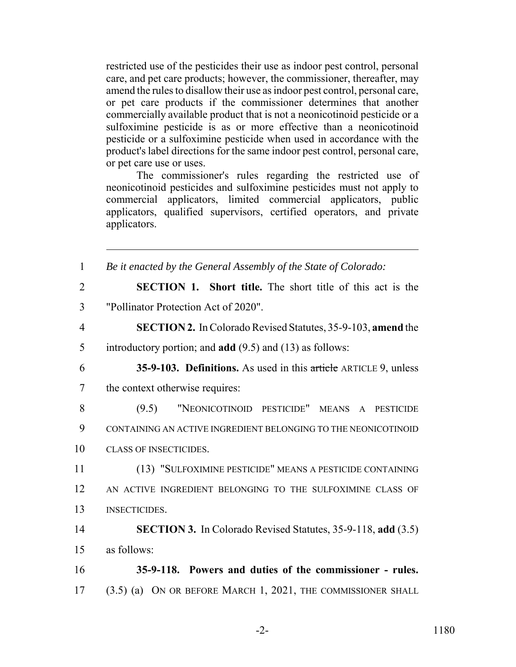restricted use of the pesticides their use as indoor pest control, personal care, and pet care products; however, the commissioner, thereafter, may amend the rules to disallow their use as indoor pest control, personal care, or pet care products if the commissioner determines that another commercially available product that is not a neonicotinoid pesticide or a sulfoximine pesticide is as or more effective than a neonicotinoid pesticide or a sulfoximine pesticide when used in accordance with the product's label directions for the same indoor pest control, personal care, or pet care use or uses.

The commissioner's rules regarding the restricted use of neonicotinoid pesticides and sulfoximine pesticides must not apply to commercial applicators, limited commercial applicators, public applicators, qualified supervisors, certified operators, and private applicators.

| $\mathbf{1}$   | Be it enacted by the General Assembly of the State of Colorado:     |
|----------------|---------------------------------------------------------------------|
| $\overline{2}$ | <b>SECTION 1.</b> Short title. The short title of this act is the   |
| 3              | "Pollinator Protection Act of 2020".                                |
| $\overline{4}$ | <b>SECTION 2.</b> In Colorado Revised Statutes, 35-9-103, amend the |
| 5              | introductory portion; and $add(9.5)$ and $(13)$ as follows:         |
| 6              | 35-9-103. Definitions. As used in this article ARTICLE 9, unless    |
| $\overline{7}$ | the context otherwise requires:                                     |
| 8              | "NEONICOTINOID PESTICIDE" MEANS A PESTICIDE<br>(9.5)                |
| 9              | CONTAINING AN ACTIVE INGREDIENT BELONGING TO THE NEONICOTINOID      |
| 10             | <b>CLASS OF INSECTICIDES.</b>                                       |
| 11             | (13) "SULFOXIMINE PESTICIDE" MEANS A PESTICIDE CONTAINING           |
| 12             | AN ACTIVE INGREDIENT BELONGING TO THE SULFOXIMINE CLASS OF          |
| 13             | <b>INSECTICIDES.</b>                                                |
| 14             | <b>SECTION 3.</b> In Colorado Revised Statutes, 35-9-118, add (3.5) |
| 15             | as follows:                                                         |
| 16             | 35-9-118. Powers and duties of the commissioner - rules.            |
| 17             | (3.5) (a) ON OR BEFORE MARCH 1, 2021, THE COMMISSIONER SHALL        |
|                |                                                                     |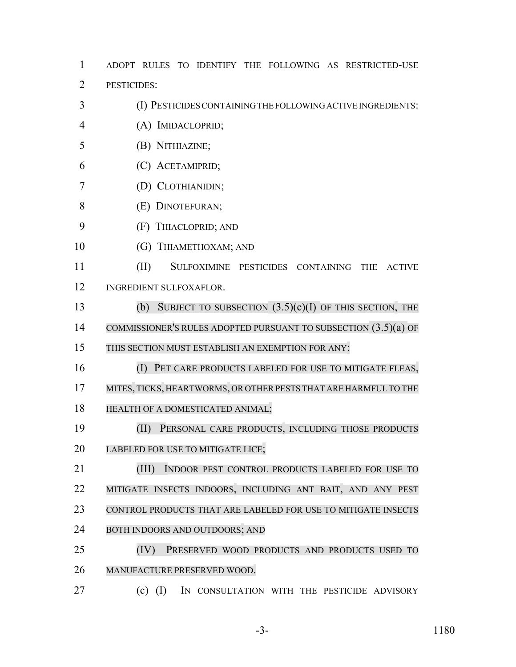ADOPT RULES TO IDENTIFY THE FOLLOWING AS RESTRICTED-USE PESTICIDES:

- (I) PESTICIDES CONTAINING THE FOLLOWING ACTIVE INGREDIENTS:
- (A) IMIDACLOPRID;
- (B) NITHIAZINE;
- (C) ACETAMIPRID;
- (D) CLOTHIANIDIN;
- (E) DINOTEFURAN;
- (F) THIACLOPRID; AND
- 10 (G) THIAMETHOXAM; AND
- (II) SULFOXIMINE PESTICIDES CONTAINING THE ACTIVE INGREDIENT SULFOXAFLOR.
- (b) SUBJECT TO SUBSECTION (3.5)(c)(I) OF THIS SECTION, THE COMMISSIONER'S RULES ADOPTED PURSUANT TO SUBSECTION (3.5)(a) OF
- THIS SECTION MUST ESTABLISH AN EXEMPTION FOR ANY:
- (I) PET CARE PRODUCTS LABELED FOR USE TO MITIGATE FLEAS,
- 17 MITES, TICKS, HEARTWORMS, OR OTHER PESTS THAT ARE HARMFUL TO THE
- HEALTH OF A DOMESTICATED ANIMAL;
- (II) PERSONAL CARE PRODUCTS, INCLUDING THOSE PRODUCTS LABELED FOR USE TO MITIGATE LICE;

 (III) INDOOR PEST CONTROL PRODUCTS LABELED FOR USE TO MITIGATE INSECTS INDOORS, INCLUDING ANT BAIT, AND ANY PEST CONTROL PRODUCTS THAT ARE LABELED FOR USE TO MITIGATE INSECTS BOTH INDOORS AND OUTDOORS; AND

- (IV) PRESERVED WOOD PRODUCTS AND PRODUCTS USED TO MANUFACTURE PRESERVED WOOD.
- (c) (I) IN CONSULTATION WITH THE PESTICIDE ADVISORY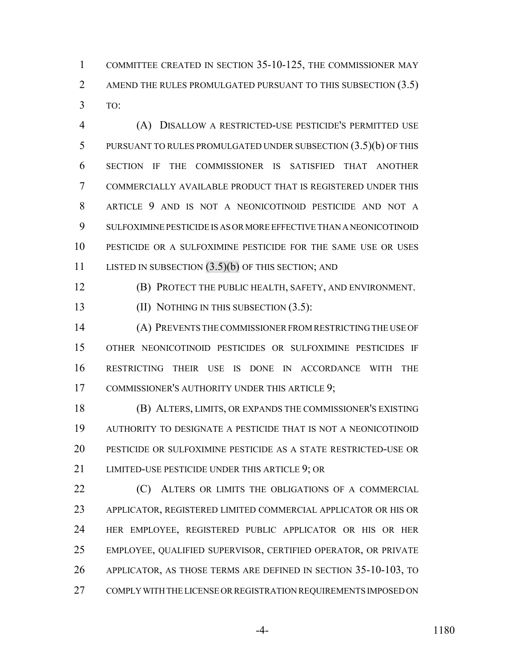COMMITTEE CREATED IN SECTION 35-10-125, THE COMMISSIONER MAY 2 AMEND THE RULES PROMULGATED PURSUANT TO THIS SUBSECTION (3.5) TO:

 (A) DISALLOW A RESTRICTED-USE PESTICIDE'S PERMITTED USE PURSUANT TO RULES PROMULGATED UNDER SUBSECTION (3.5)(b) OF THIS SECTION IF THE COMMISSIONER IS SATISFIED THAT ANOTHER COMMERCIALLY AVAILABLE PRODUCT THAT IS REGISTERED UNDER THIS ARTICLE 9 AND IS NOT A NEONICOTINOID PESTICIDE AND NOT A SULFOXIMINE PESTICIDE IS AS OR MORE EFFECTIVE THAN A NEONICOTINOID PESTICIDE OR A SULFOXIMINE PESTICIDE FOR THE SAME USE OR USES 11 LISTED IN SUBSECTION (3.5)(b) OF THIS SECTION; AND

(B) PROTECT THE PUBLIC HEALTH, SAFETY, AND ENVIRONMENT.

**(II) NOTHING IN THIS SUBSECTION (3.5):** 

 (A) PREVENTS THE COMMISSIONER FROM RESTRICTING THE USE OF OTHER NEONICOTINOID PESTICIDES OR SULFOXIMINE PESTICIDES IF RESTRICTING THEIR USE IS DONE IN ACCORDANCE WITH THE COMMISSIONER'S AUTHORITY UNDER THIS ARTICLE 9;

 (B) ALTERS, LIMITS, OR EXPANDS THE COMMISSIONER'S EXISTING AUTHORITY TO DESIGNATE A PESTICIDE THAT IS NOT A NEONICOTINOID PESTICIDE OR SULFOXIMINE PESTICIDE AS A STATE RESTRICTED-USE OR LIMITED-USE PESTICIDE UNDER THIS ARTICLE 9; OR

**(C)** ALTERS OR LIMITS THE OBLIGATIONS OF A COMMERCIAL APPLICATOR, REGISTERED LIMITED COMMERCIAL APPLICATOR OR HIS OR HER EMPLOYEE, REGISTERED PUBLIC APPLICATOR OR HIS OR HER EMPLOYEE, QUALIFIED SUPERVISOR, CERTIFIED OPERATOR, OR PRIVATE APPLICATOR, AS THOSE TERMS ARE DEFINED IN SECTION 35-10-103, TO COMPLY WITH THE LICENSE OR REGISTRATION REQUIREMENTS IMPOSED ON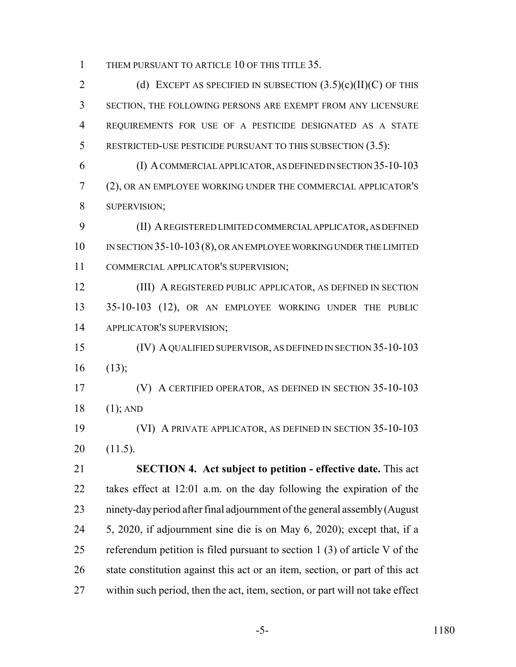THEM PURSUANT TO ARTICLE 10 OF THIS TITLE 35.

2 (d) EXCEPT AS SPECIFIED IN SUBSECTION  $(3.5)(c)(II)(C)$  OF THIS SECTION, THE FOLLOWING PERSONS ARE EXEMPT FROM ANY LICENSURE REQUIREMENTS FOR USE OF A PESTICIDE DESIGNATED AS A STATE 5 RESTRICTED-USE PESTICIDE PURSUANT TO THIS SUBSECTION (3.5):

 (I) A COMMERCIAL APPLICATOR, AS DEFINED IN SECTION 35-10-103 (2), OR AN EMPLOYEE WORKING UNDER THE COMMERCIAL APPLICATOR'S SUPERVISION;

 (II) A REGISTERED LIMITED COMMERCIAL APPLICATOR, AS DEFINED IN SECTION 35-10-103(8), OR AN EMPLOYEE WORKING UNDER THE LIMITED COMMERCIAL APPLICATOR'S SUPERVISION;

 (III) A REGISTERED PUBLIC APPLICATOR, AS DEFINED IN SECTION 35-10-103 (12), OR AN EMPLOYEE WORKING UNDER THE PUBLIC APPLICATOR'S SUPERVISION;

 (IV) A QUALIFIED SUPERVISOR, AS DEFINED IN SECTION 35-10-103 (13);

 (V) A CERTIFIED OPERATOR, AS DEFINED IN SECTION 35-10-103 (1); AND

 (VI) A PRIVATE APPLICATOR, AS DEFINED IN SECTION 35-10-103 (11.5).

 **SECTION 4. Act subject to petition - effective date.** This act takes effect at 12:01 a.m. on the day following the expiration of the ninety-day period after final adjournment of the general assembly (August 5, 2020, if adjournment sine die is on May 6, 2020); except that, if a referendum petition is filed pursuant to section 1 (3) of article V of the state constitution against this act or an item, section, or part of this act within such period, then the act, item, section, or part will not take effect